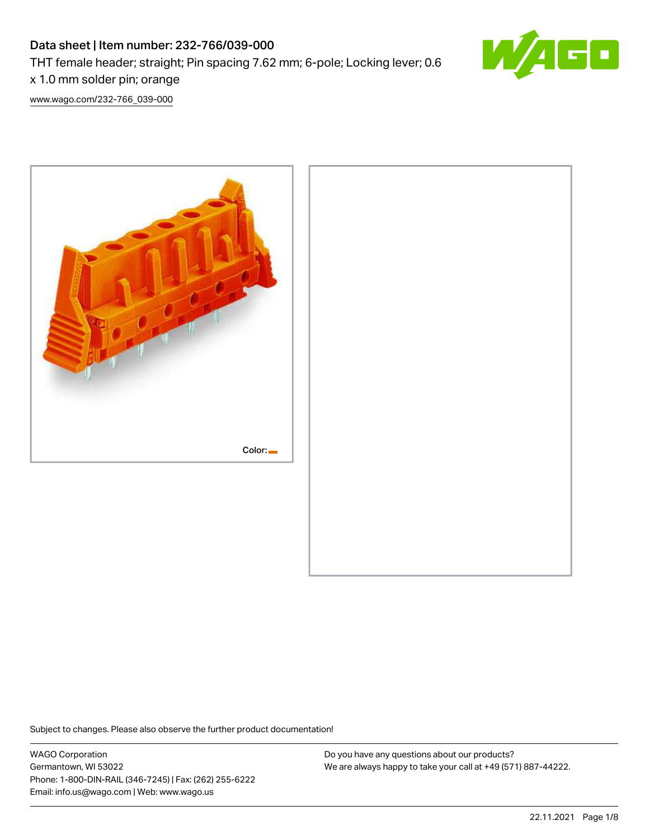# Data sheet | Item number: 232-766/039-000 THT female header; straight; Pin spacing 7.62 mm; 6-pole; Locking lever; 0.6 x 1.0 mm solder pin; orange



[www.wago.com/232-766\\_039-000](http://www.wago.com/232-766_039-000)



Subject to changes. Please also observe the further product documentation!

WAGO Corporation Germantown, WI 53022 Phone: 1-800-DIN-RAIL (346-7245) | Fax: (262) 255-6222 Email: info.us@wago.com | Web: www.wago.us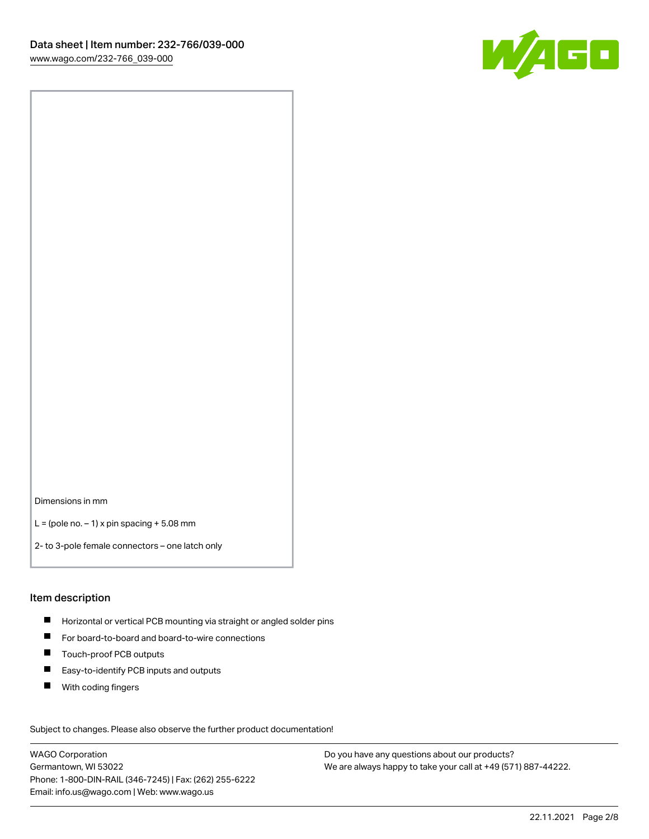

Dimensions in mm

 $L =$  (pole no.  $-1$ ) x pin spacing  $+5.08$  mm

2- to 3-pole female connectors – one latch only

#### Item description

- **H** Horizontal or vertical PCB mounting via straight or angled solder pins
- For board-to-board and board-to-wire connections
- Touch-proof PCB outputs  $\blacksquare$
- $\blacksquare$ Easy-to-identify PCB inputs and outputs
- $\blacksquare$ With coding fingers

Subject to changes. Please also observe the further product documentation! Data

WAGO Corporation Germantown, WI 53022 Phone: 1-800-DIN-RAIL (346-7245) | Fax: (262) 255-6222 Email: info.us@wago.com | Web: www.wago.us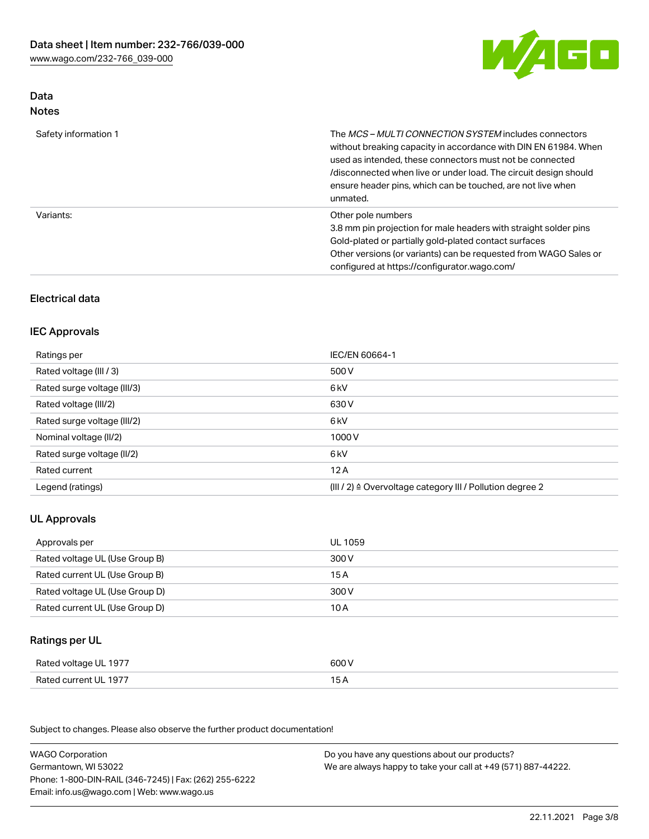

### Data Notes

| Safety information 1 | The <i>MCS – MULTI CONNECTION SYSTEM</i> includes connectors<br>without breaking capacity in accordance with DIN EN 61984. When<br>used as intended, these connectors must not be connected<br>/disconnected when live or under load. The circuit design should<br>ensure header pins, which can be touched, are not live when<br>unmated. |
|----------------------|--------------------------------------------------------------------------------------------------------------------------------------------------------------------------------------------------------------------------------------------------------------------------------------------------------------------------------------------|
| Variants:            | Other pole numbers<br>3.8 mm pin projection for male headers with straight solder pins<br>Gold-plated or partially gold-plated contact surfaces<br>Other versions (or variants) can be requested from WAGO Sales or<br>configured at https://configurator.wago.com/                                                                        |

# Electrical data

#### IEC Approvals

| Ratings per                 | IEC/EN 60664-1                                                        |
|-----------------------------|-----------------------------------------------------------------------|
| Rated voltage (III / 3)     | 500 V                                                                 |
| Rated surge voltage (III/3) | 6 kV                                                                  |
| Rated voltage (III/2)       | 630 V                                                                 |
| Rated surge voltage (III/2) | 6 kV                                                                  |
| Nominal voltage (II/2)      | 1000 V                                                                |
| Rated surge voltage (II/2)  | 6 kV                                                                  |
| Rated current               | 12A                                                                   |
| Legend (ratings)            | $(III / 2)$ $\triangle$ Overvoltage category III / Pollution degree 2 |

### UL Approvals

| Approvals per                  | UL 1059 |
|--------------------------------|---------|
| Rated voltage UL (Use Group B) | 300 V   |
| Rated current UL (Use Group B) | 15 A    |
| Rated voltage UL (Use Group D) | 300 V   |
| Rated current UL (Use Group D) | 10 A    |

# Ratings per UL

| Rated voltage UL 1977 | 600 V |
|-----------------------|-------|
| Rated current UL 1977 | 15 A  |

Subject to changes. Please also observe the further product documentation!

| <b>WAGO Corporation</b>                                | Do you have any questions about our products?                 |
|--------------------------------------------------------|---------------------------------------------------------------|
| Germantown, WI 53022                                   | We are always happy to take your call at +49 (571) 887-44222. |
| Phone: 1-800-DIN-RAIL (346-7245)   Fax: (262) 255-6222 |                                                               |
| Email: info.us@wago.com   Web: www.wago.us             |                                                               |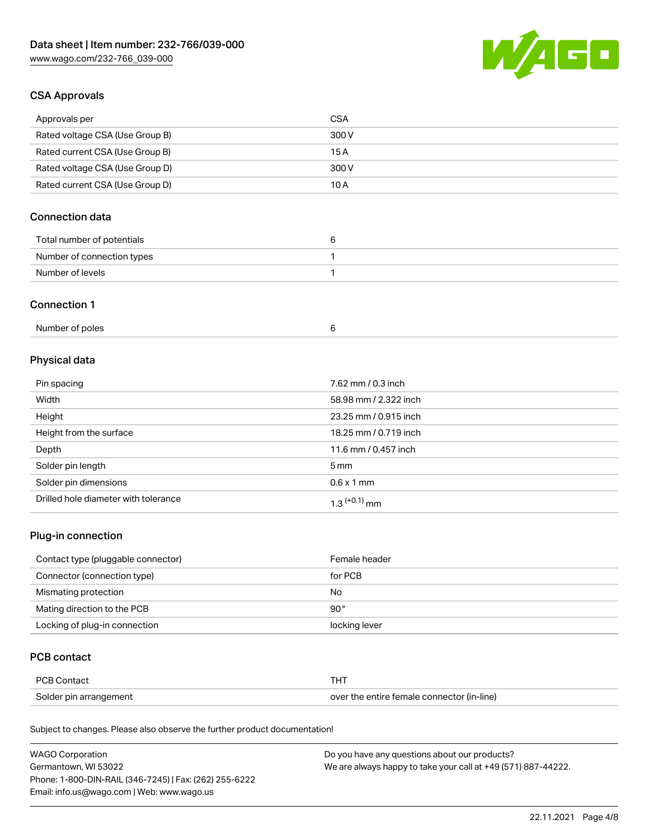

### CSA Approvals

| Approvals per                   | CSA   |
|---------------------------------|-------|
| Rated voltage CSA (Use Group B) | 300 V |
| Rated current CSA (Use Group B) | 15 A  |
| Rated voltage CSA (Use Group D) | 300 V |
| Rated current CSA (Use Group D) | 10 A  |

# Connection data

| Total number of potentials |  |
|----------------------------|--|
| Number of connection types |  |
| Number of levels           |  |

#### Connection 1

| Number of poles |  |
|-----------------|--|
|                 |  |

# Physical data

| Pin spacing                          | 7.62 mm / 0.3 inch    |
|--------------------------------------|-----------------------|
| Width                                | 58.98 mm / 2.322 inch |
| Height                               | 23.25 mm / 0.915 inch |
| Height from the surface              | 18.25 mm / 0.719 inch |
| Depth                                | 11.6 mm / 0.457 inch  |
| Solder pin length                    | $5 \,\mathrm{mm}$     |
| Solder pin dimensions                | $0.6 \times 1$ mm     |
| Drilled hole diameter with tolerance | $1.3$ $(+0.1)$ mm     |

## Plug-in connection

| Contact type (pluggable connector) | Female header |
|------------------------------------|---------------|
| Connector (connection type)        | for PCB       |
| Mismating protection               | No            |
| Mating direction to the PCB        | $90^{\circ}$  |
| Locking of plug-in connection      | locking lever |

### PCB contact

| <b>PCB Contact</b>     |                                            |
|------------------------|--------------------------------------------|
| Solder pin arrangement | over the entire female connector (in-line) |

Subject to changes. Please also observe the further product documentation!

| <b>WAGO Corporation</b>                                | Do you have any questions about our products?                 |
|--------------------------------------------------------|---------------------------------------------------------------|
| Germantown, WI 53022                                   | We are always happy to take your call at +49 (571) 887-44222. |
| Phone: 1-800-DIN-RAIL (346-7245)   Fax: (262) 255-6222 |                                                               |
| Email: info.us@wago.com   Web: www.wago.us             |                                                               |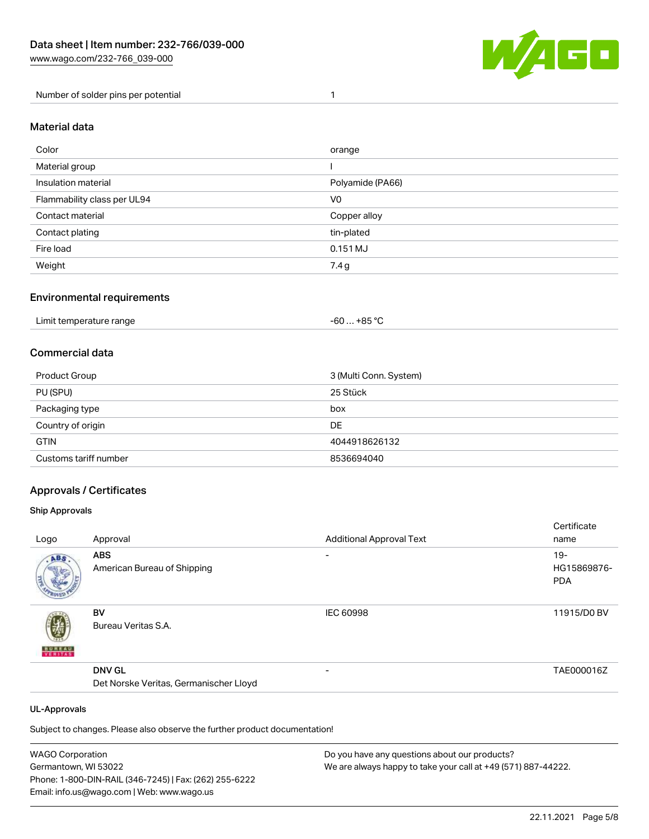

Number of solder pins per potential 1

### Material data

| Color                       | orange           |
|-----------------------------|------------------|
| Material group              |                  |
| Insulation material         | Polyamide (PA66) |
| Flammability class per UL94 | V <sub>0</sub>   |
| Contact material            | Copper alloy     |
| Contact plating             | tin-plated       |
| Fire load                   | $0.151$ MJ       |
| Weight                      | 7.4 g            |

#### Environmental requirements

| Limit temperature range | . +85 °Ր<br>$-60$ |  |
|-------------------------|-------------------|--|
|-------------------------|-------------------|--|

### Commercial data

| Product Group         | 3 (Multi Conn. System) |
|-----------------------|------------------------|
| PU (SPU)              | 25 Stück               |
| Packaging type        | box                    |
| Country of origin     | DE                     |
| <b>GTIN</b>           | 4044918626132          |
| Customs tariff number | 8536694040             |

#### Approvals / Certificates

#### Ship Approvals

|               |                                        |                                 | Certificate |
|---------------|----------------------------------------|---------------------------------|-------------|
| Logo          | Approval                               | <b>Additional Approval Text</b> | name        |
| ABS           | <b>ABS</b>                             | $\overline{\phantom{0}}$        | $19 -$      |
|               | American Bureau of Shipping            |                                 | HG15869876- |
|               |                                        |                                 | <b>PDA</b>  |
|               |                                        |                                 |             |
|               | <b>BV</b>                              | <b>IEC 60998</b>                | 11915/D0 BV |
|               | Bureau Veritas S.A.                    |                                 |             |
| <b>BUREAU</b> |                                        |                                 |             |
|               | <b>DNV GL</b>                          | $\overline{\phantom{0}}$        | TAE000016Z  |
|               | Det Norske Veritas, Germanischer Lloyd |                                 |             |
|               |                                        |                                 |             |

#### UL-Approvals

Subject to changes. Please also observe the further product documentation!

| <b>WAGO Corporation</b>                                | Do you have any questions about our products?                 |
|--------------------------------------------------------|---------------------------------------------------------------|
| Germantown, WI 53022                                   | We are always happy to take your call at +49 (571) 887-44222. |
| Phone: 1-800-DIN-RAIL (346-7245)   Fax: (262) 255-6222 |                                                               |
| Email: info.us@wago.com   Web: www.wago.us             |                                                               |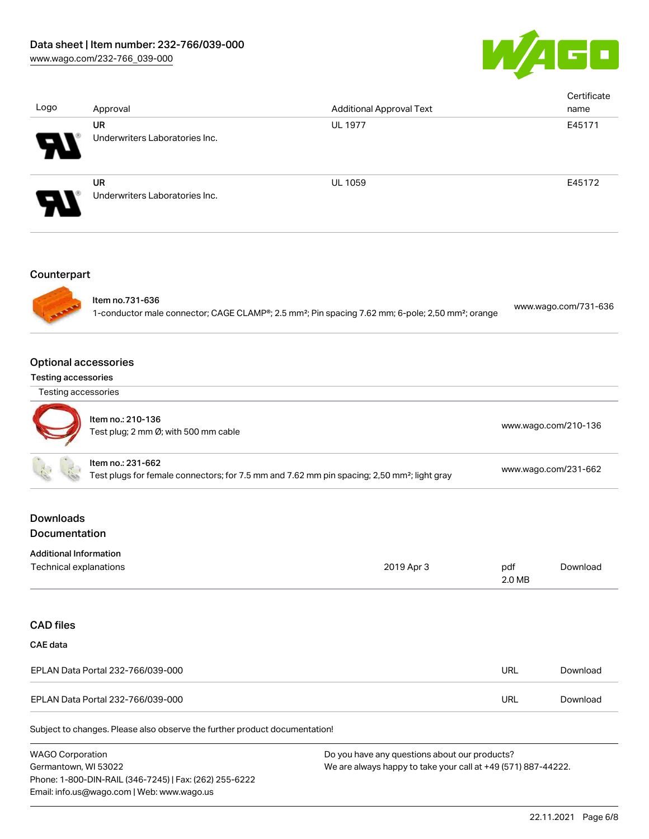

| Logo                                                      | Approval                                                                   | <b>Additional Approval Text</b>                                                                                           |               | Certificate<br>name  |
|-----------------------------------------------------------|----------------------------------------------------------------------------|---------------------------------------------------------------------------------------------------------------------------|---------------|----------------------|
|                                                           | <b>UR</b><br>Underwriters Laboratories Inc.                                | <b>UL 1977</b>                                                                                                            |               | E45171               |
|                                                           | <b>UR</b><br>Underwriters Laboratories Inc.                                | UL 1059                                                                                                                   |               | E45172               |
| Counterpart                                               |                                                                            |                                                                                                                           |               |                      |
|                                                           | Item no.731-636                                                            | 1-conductor male connector; CAGE CLAMP®; 2.5 mm <sup>2</sup> ; Pin spacing 7.62 mm; 6-pole; 2,50 mm <sup>2</sup> ; orange |               | www.wago.com/731-636 |
| <b>Optional accessories</b><br><b>Testing accessories</b> |                                                                            |                                                                                                                           |               |                      |
| Testing accessories                                       |                                                                            |                                                                                                                           |               |                      |
|                                                           | Item no.: 210-136<br>Test plug; 2 mm Ø; with 500 mm cable                  |                                                                                                                           |               | www.wago.com/210-136 |
|                                                           | Item no.: 231-662                                                          | Test plugs for female connectors; for 7.5 mm and 7.62 mm pin spacing; 2,50 mm <sup>2</sup> ; light gray                   |               | www.wago.com/231-662 |
| <b>Downloads</b><br>Documentation                         |                                                                            |                                                                                                                           |               |                      |
| <b>Additional Information</b><br>Technical explanations   |                                                                            | 2019 Apr 3                                                                                                                | pdf<br>2.0 MB | Download             |
| <b>CAD files</b>                                          |                                                                            |                                                                                                                           |               |                      |
| <b>CAE</b> data                                           |                                                                            |                                                                                                                           |               |                      |
|                                                           | EPLAN Data Portal 232-766/039-000                                          |                                                                                                                           | <b>URL</b>    | Download             |
|                                                           | EPLAN Data Portal 232-766/039-000                                          |                                                                                                                           | <b>URL</b>    | Download             |
|                                                           | Subject to changes. Please also observe the further product documentation! |                                                                                                                           |               |                      |

WAGO Corporation Germantown, WI 53022 Phone: 1-800-DIN-RAIL (346-7245) | Fax: (262) 255-6222 Email: info.us@wago.com | Web: www.wago.us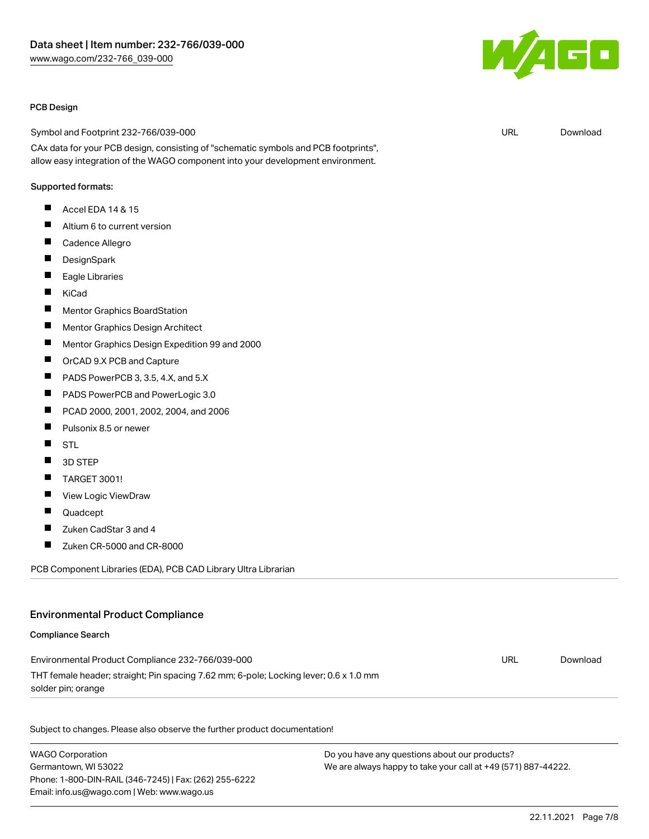

#### PCB Design

Symbol and Footprint 232-766/039-000

CAx data for your PCB design, consisting of "schematic symbols and PCB footprints", allow easy integration of the WAGO component into your development environment.

#### Supported formats:

- $\blacksquare$ Accel EDA 14 & 15
- $\blacksquare$ Altium 6 to current version
- $\blacksquare$ Cadence Allegro
- П **DesignSpark**
- $\blacksquare$ Eagle Libraries
- $\blacksquare$ KiCad
- $\blacksquare$ Mentor Graphics BoardStation
- П Mentor Graphics Design Architect
- П Mentor Graphics Design Expedition 99 and 2000
- П OrCAD 9.X PCB and Capture
- $\blacksquare$ PADS PowerPCB 3, 3.5, 4.X, and 5.X
- $\blacksquare$ PADS PowerPCB and PowerLogic 3.0
- П PCAD 2000, 2001, 2002, 2004, and 2006
- П Pulsonix 8.5 or newer
- П **STL**
- П 3D STEP
- П TARGET 3001!
- П View Logic ViewDraw
- $\blacksquare$ Quadcept
- П Zuken CadStar 3 and 4
- П Zuken CR-5000 and CR-8000

PCB Component Libraries (EDA), PCB CAD Library Ultra Librarian

#### Environmental Product Compliance

#### Compliance Search

| Environmental Product Compliance 232-766/039-000                                      | URL | Download |
|---------------------------------------------------------------------------------------|-----|----------|
| THT female header; straight; Pin spacing 7.62 mm; 6-pole; Locking lever; 0.6 x 1.0 mm |     |          |
| solder pin; orange                                                                    |     |          |

Subject to changes. Please also observe the further product documentation!

WAGO Corporation Germantown, WI 53022 Phone: 1-800-DIN-RAIL (346-7245) | Fax: (262) 255-6222 Email: info.us@wago.com | Web: www.wago.us